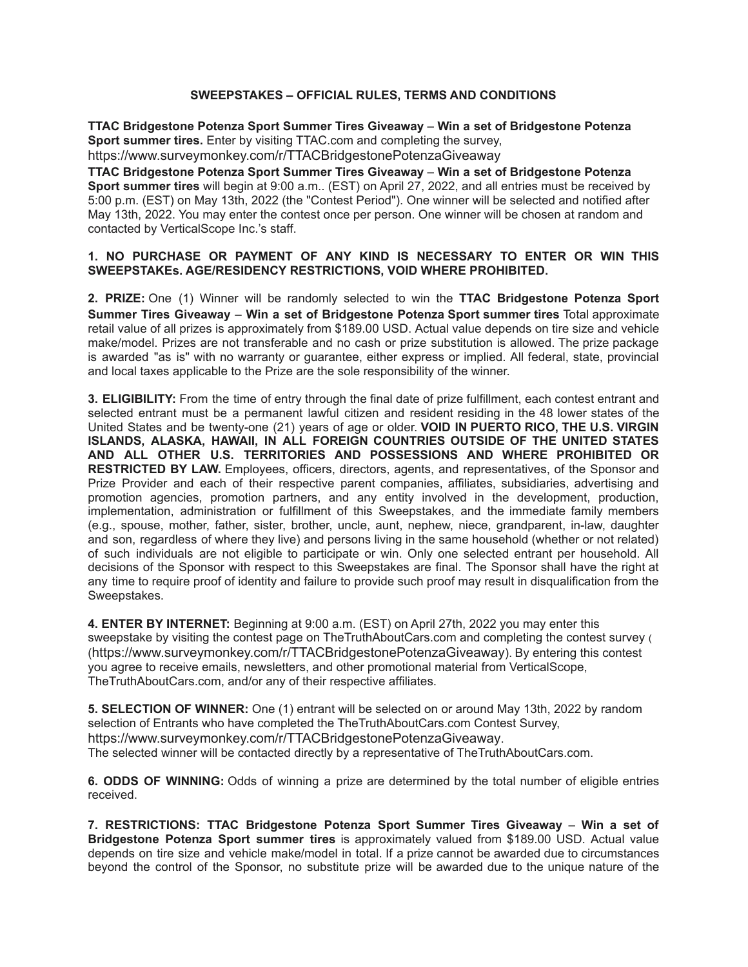## **SWEEPSTAKES – OFFICIAL RULES, TERMS AND CONDITIONS**

**TTAC Bridgestone Potenza Sport Summer Tires Giveaway** – **Win a set of Bridgestone Potenza Sport summer tires.** Enter by visiting TTAC.com and completing the survey, https://www.surveymonkey.com/r/TTACBridgestonePotenzaGiveaway

**TTAC Bridgestone Potenza Sport Summer Tires Giveaway** – **Win a set of Bridgestone Potenza Sport summer tires** will begin at 9:00 a.m.. (EST) on April 27, 2022, and all entries must be received by 5:00 p.m. (EST) on May 13th, 2022 (the "Contest Period"). One winner will be selected and notified after May 13th, 2022. You may enter the contest once per person. One winner will be chosen at random and contacted by VerticalScope Inc.'s staff.

## **1. NO PURCHASE OR PAYMENT OF ANY KIND IS NECESSARY TO ENTER OR WIN THIS SWEEPSTAKEs. AGE/RESIDENCY RESTRICTIONS, VOID WHERE PROHIBITED.**

**2. PRIZE:** One (1) Winner will be randomly selected to win the **TTAC Bridgestone Potenza Sport Summer Tires Giveaway** – **Win a set of Bridgestone Potenza Sport summer tires** Total approximate retail value of all prizes is approximately from \$189.00 USD. Actual value depends on tire size and vehicle make/model. Prizes are not transferable and no cash or prize substitution is allowed. The prize package is awarded "as is" with no warranty or guarantee, either express or implied. All federal, state, provincial and local taxes applicable to the Prize are the sole responsibility of the winner.

**3. ELIGIBILITY:** From the time of entry through the final date of prize fulfillment, each contest entrant and selected entrant must be a permanent lawful citizen and resident residing in the 48 lower states of the United States and be twenty-one (21) years of age or older. **VOID IN PUERTO RICO, THE U.S. VIRGIN ISLANDS, ALASKA, HAWAII, IN ALL FOREIGN COUNTRIES OUTSIDE OF THE UNITED STATES AND ALL OTHER U.S. TERRITORIES AND POSSESSIONS AND WHERE PROHIBITED OR RESTRICTED BY LAW.** Employees, officers, directors, agents, and representatives, of the Sponsor and Prize Provider and each of their respective parent companies, affiliates, subsidiaries, advertising and promotion agencies, promotion partners, and any entity involved in the development, production, implementation, administration or fulfillment of this Sweepstakes, and the immediate family members (e.g., spouse, mother, father, sister, brother, uncle, aunt, nephew, niece, grandparent, in-law, daughter and son, regardless of where they live) and persons living in the same household (whether or not related) of such individuals are not eligible to participate or win. Only one selected entrant per household. All decisions of the Sponsor with respect to this Sweepstakes are final. The Sponsor shall have the right at any time to require proof of identity and failure to provide such proof may result in disqualification from the Sweepstakes.

**4. ENTER BY INTERNET:** Beginning at 9:00 a.m. (EST) on April 27th, 2022 you may enter this sweepstake by visiting the contest page on TheTruthAboutCars.com and completing the contest survey ( (https://www.surveymonkey.com/r/TTACBridgestonePotenzaGiveaway). By entering this contest you agree to receive emails, newsletters, and other promotional material from VerticalScope, TheTruthAboutCars.com, and/or any of their respective affiliates.

**5. SELECTION OF WINNER:** One (1) entrant will be selected on or around May 13th, 2022 by random selection of Entrants who have completed the TheTruthAboutCars.com Contest Survey, https://www.surveymonkey.com/r/TTACBridgestonePotenzaGiveaway. The selected winner will be contacted directly by a representative of TheTruthAboutCars.com.

**6. ODDS OF WINNING:** Odds of winning a prize are determined by the total number of eligible entries received.

**7. RESTRICTIONS: TTAC Bridgestone Potenza Sport Summer Tires Giveaway** – **Win a set of Bridgestone Potenza Sport summer tires** is approximately valued from \$189.00 USD. Actual value depends on tire size and vehicle make/model in total. If a prize cannot be awarded due to circumstances beyond the control of the Sponsor, no substitute prize will be awarded due to the unique nature of the